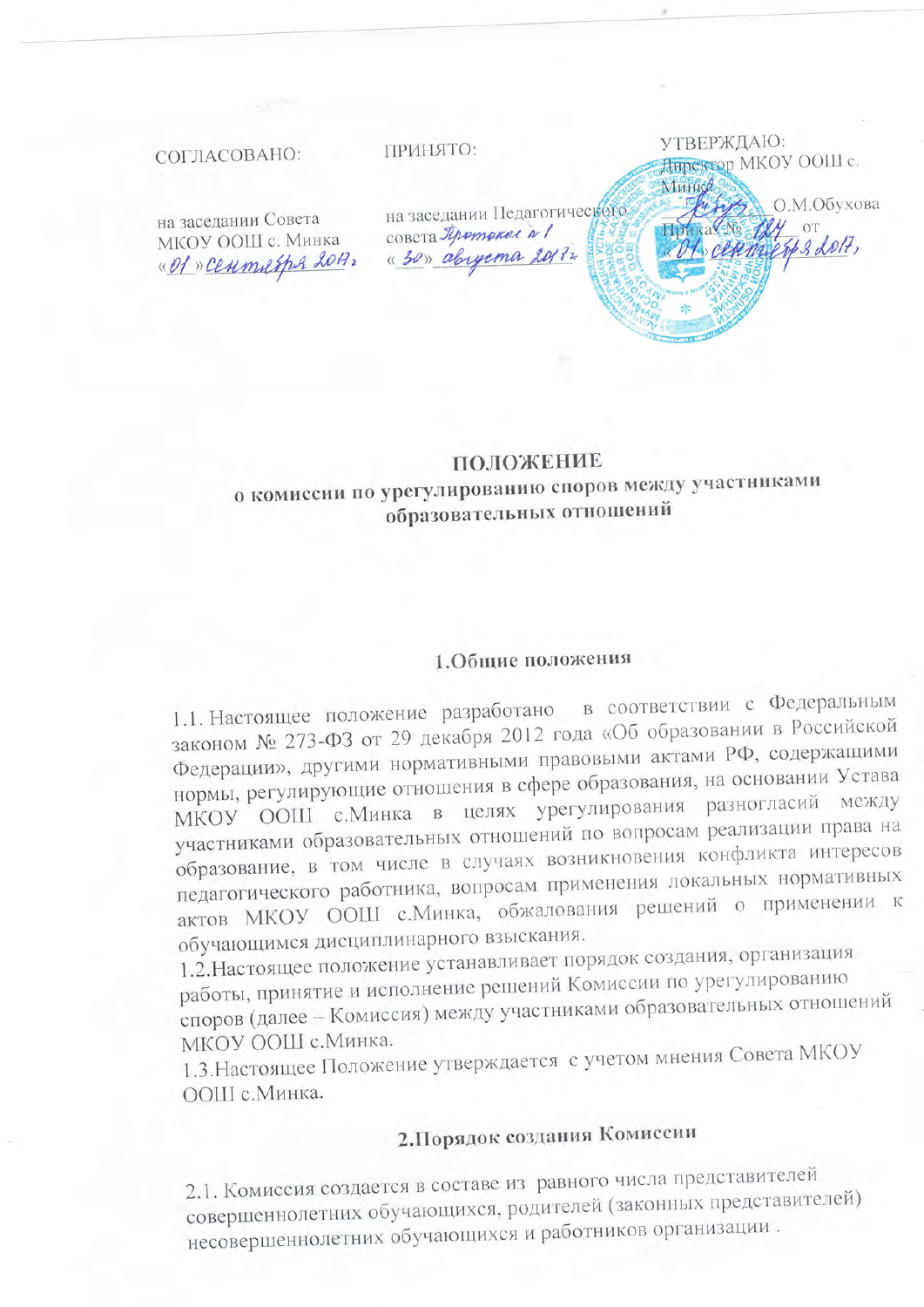### СОГЛАСОВАНО:

ПРИНЯТО:

на заседании Совета МКОУ ООШ с. Минка «Of » Ceumesper 2017, на заседании Педагогического совета Протокол N/ « 30» abyema 20172

УТВЕРЖДАЮ:

Минка

Директор МКОУ ООШ с.

cettements 2 2017,

О.М.Обухова

### ПОЛОЖЕНИЕ о комиссии по урегулированию споров между участниками образовательных отношений

### 1.Общие положения

1.1. Настоящее положение разработано в соответствии с Федеральным законом № 273-ФЗ от 29 декабря 2012 года «Об образовании в Российской Федерации», другими нормативными правовыми актами РФ, содержащими нормы, регулирующие отношения в сфере образования, на основании Устава МКОУ ООШ с. Минка в целях урегулирования разногласий между участниками образовательных отношений по вопросам реализации права на образование, в том числе в случаях возникновения конфликта интересов педагогического работника, вопросам применения локальных нормативных актов МКОУ ООШ с. Минка, обжалования решений о применении к обучающимся дисциплинарного взыскания.

1.2. Настоящее положение устанавливает порядок создания, организация работы, принятие и исполнение решений Комиссии по урегулированию споров (далее - Комиссия) между участниками образовательных отношений МКОУ ООШ с. Минка.

1.3. Настоящее Положение утверждается с учетом мнения Совета МКОУ ООШ с. Минка.

# 2. Порядок создания Комиссии

2.1. Комиссия создается в составе из равного числа представителей совершеннолетних обучающихся, родителей (законных представителей) несовершеннолетних обучающихся и работников организации.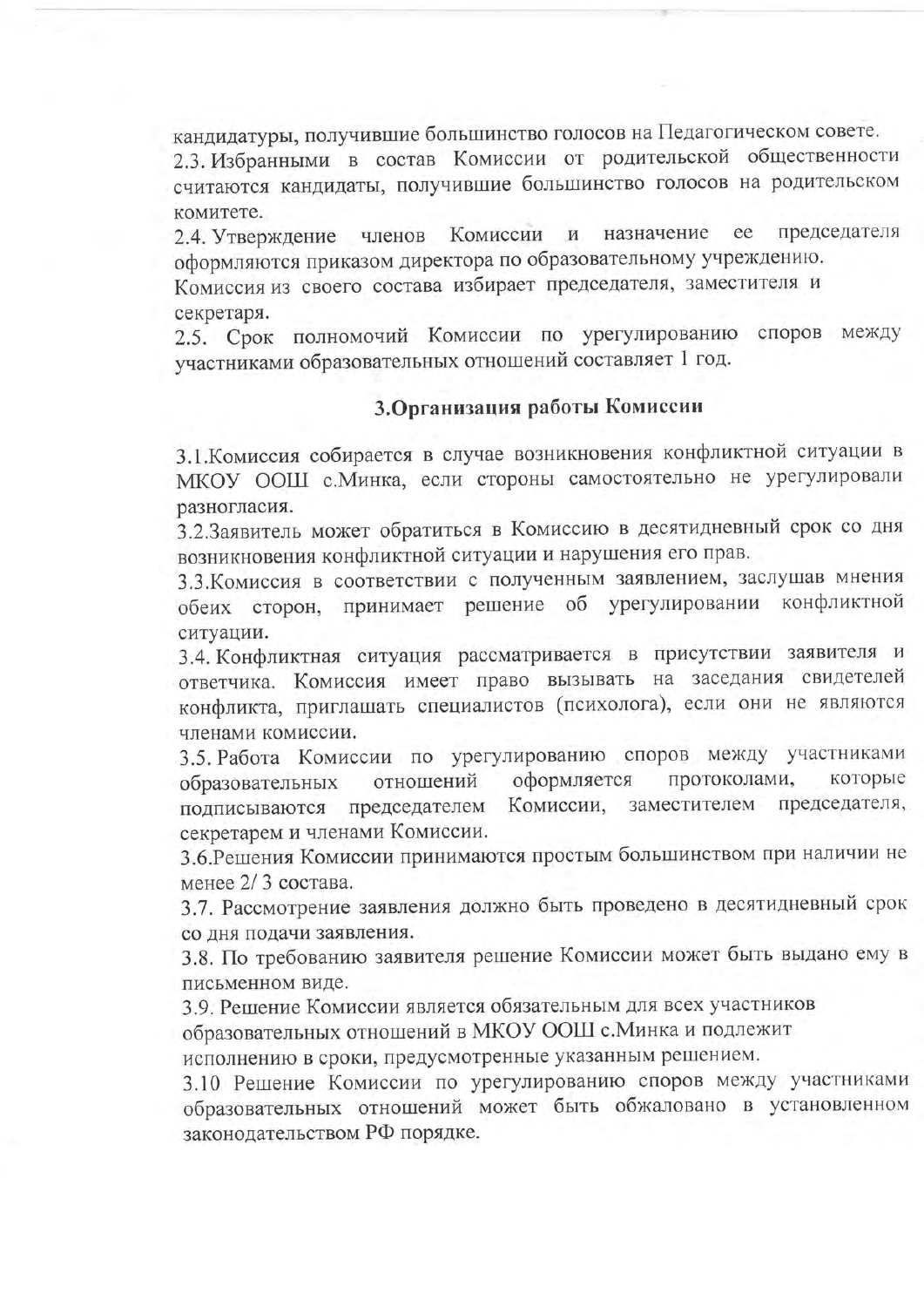кандидатуры, получившие большинство голосов на Педагогическом совете.

2.3. Избранными в состав Комиссии от родительской общественности считаются кандидаты, получившие большинство голосов на родительском комитете.

ee председателя Комиссии  $\mathbf{M}$ назначение 2.4. Утверждение членов оформляются приказом директора по образовательному учреждению.

Комиссия из своего состава избирает председателя, заместителя и секретаря.

2.5. Срок полномочий Комиссии по урегулированию споров между участниками образовательных отношений составляет 1 год.

## 3. Организация работы Комиссии

3.1. Комиссия собирается в случае возникновения конфликтной ситуации в МКОУ ООШ с. Минка, если стороны самостоятельно не урегулировали разногласия.

3.2.Заявитель может обратиться в Комиссию в десятидневный срок со дня возникновения конфликтной ситуации и нарушения его прав.

3.3. Комиссия в соответствии с полученным заявлением, заслушав мнения обеих сторон, принимает решение об урегулировании конфликтной ситуации.

3.4. Конфликтная ситуация рассматривается в присутствии заявителя и ответчика. Комиссия имеет право вызывать на заседания свидетелей конфликта, приглашать специалистов (психолога), если они не являются членами комиссии.

3.5. Работа Комиссии по урегулированию споров между участниками оформляется протоколами, которые отношений образовательных подписываются председателем Комиссии, заместителем председателя, секретарем и членами Комиссии.

3.6. Решения Комиссии принимаются простым большинством при наличии не менее 2/3 состава.

3.7. Рассмотрение заявления должно быть проведено в десятидневный срок со дня подачи заявления.

3.8. По требованию заявителя решение Комиссии может быть выдано ему в письменном виде.

3.9. Решение Комиссии является обязательным для всех участников

образовательных отношений в МКОУ ООШ с. Минка и подлежит

исполнению в сроки, предусмотренные указанным решением.

3.10 Решение Комиссии по урегулированию споров между участниками образовательных отношений может быть обжаловано в установленном законодательством РФ порядке.